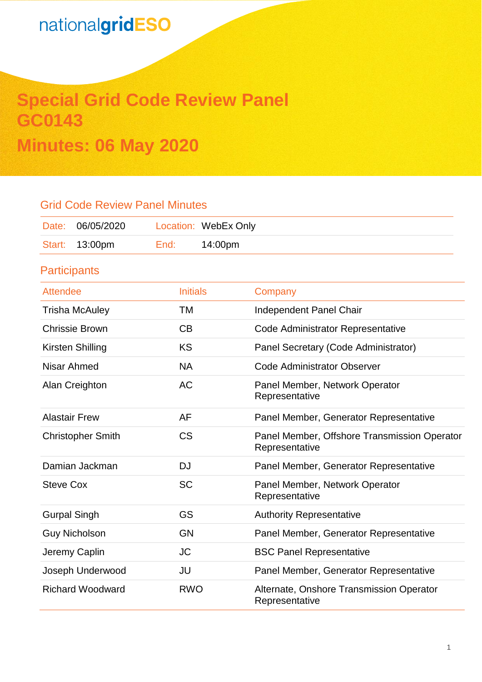# **Special Grid Code Review Panel GC0143 Minutes: 06 May 2020**

### Grid Code Review Panel Minutes

| Date: 06/05/2020 |      | Location: WebEx Only |
|------------------|------|----------------------|
| Start: 13:00pm   | End: | 14:00pm              |

**Participants** 

| <b>Attendee</b>          | <b>Initials</b> | Company                                                        |
|--------------------------|-----------------|----------------------------------------------------------------|
| <b>Trisha McAuley</b>    | TM              | Independent Panel Chair                                        |
| <b>Chrissie Brown</b>    | CB              | Code Administrator Representative                              |
| Kirsten Shilling         | <b>KS</b>       | Panel Secretary (Code Administrator)                           |
| Nisar Ahmed              | <b>NA</b>       | <b>Code Administrator Observer</b>                             |
| Alan Creighton           | <b>AC</b>       | Panel Member, Network Operator<br>Representative               |
| <b>Alastair Frew</b>     | AF              | Panel Member, Generator Representative                         |
| <b>Christopher Smith</b> | <b>CS</b>       | Panel Member, Offshore Transmission Operator<br>Representative |
| Damian Jackman           | <b>DJ</b>       | Panel Member, Generator Representative                         |
| <b>Steve Cox</b>         | <b>SC</b>       | Panel Member, Network Operator<br>Representative               |
| <b>Gurpal Singh</b>      | GS              | <b>Authority Representative</b>                                |
| <b>Guy Nicholson</b>     | GN              | Panel Member, Generator Representative                         |
| Jeremy Caplin            | <b>JC</b>       | <b>BSC Panel Representative</b>                                |
| Joseph Underwood         | JU              | Panel Member, Generator Representative                         |
| <b>Richard Woodward</b>  | <b>RWO</b>      | Alternate, Onshore Transmission Operator<br>Representative     |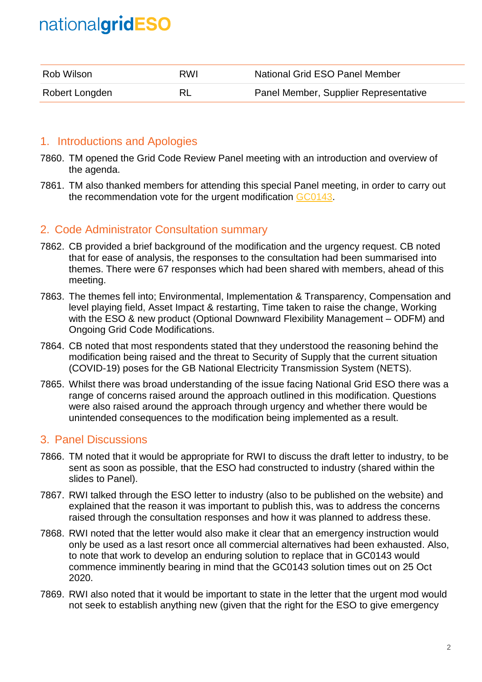| Rob Wilson     | RWI | National Grid ESO Panel Member        |
|----------------|-----|---------------------------------------|
| Robert Longden |     | Panel Member, Supplier Representative |

### 1. Introductions and Apologies

- 7860. TM opened the Grid Code Review Panel meeting with an introduction and overview of the agenda.
- 7861. TM also thanked members for attending this special Panel meeting, in order to carry out the recommendation vote for the urgent modification [GC0143.](https://www.nationalgrideso.com/industry-information/codes/grid-code-old/modifications/gc0143-last-resort-disconnection-embedded)

### 2. Code Administrator Consultation summary

- 7862. CB provided a brief background of the modification and the urgency request. CB noted that for ease of analysis, the responses to the consultation had been summarised into themes. There were 67 responses which had been shared with members, ahead of this meeting.
- 7863. The themes fell into; Environmental, Implementation & Transparency, Compensation and level playing field, Asset Impact & restarting, Time taken to raise the change, Working with the ESO & new product (Optional Downward Flexibility Management – ODFM) and Ongoing Grid Code Modifications.
- 7864. CB noted that most respondents stated that they understood the reasoning behind the modification being raised and the threat to Security of Supply that the current situation (COVID-19) poses for the GB National Electricity Transmission System (NETS).
- 7865. Whilst there was broad understanding of the issue facing National Grid ESO there was a range of concerns raised around the approach outlined in this modification. Questions were also raised around the approach through urgency and whether there would be unintended consequences to the modification being implemented as a result.

### 3. Panel Discussions

- 7866. TM noted that it would be appropriate for RWI to discuss the draft letter to industry, to be sent as soon as possible, that the ESO had constructed to industry (shared within the slides to Panel).
- 7867. RWI talked through the ESO letter to industry (also to be published on the website) and explained that the reason it was important to publish this, was to address the concerns raised through the consultation responses and how it was planned to address these.
- 7868. RWI noted that the letter would also make it clear that an emergency instruction would only be used as a last resort once all commercial alternatives had been exhausted. Also, to note that work to develop an enduring solution to replace that in GC0143 would commence imminently bearing in mind that the GC0143 solution times out on 25 Oct 2020.
- 7869. RWI also noted that it would be important to state in the letter that the urgent mod would not seek to establish anything new (given that the right for the ESO to give emergency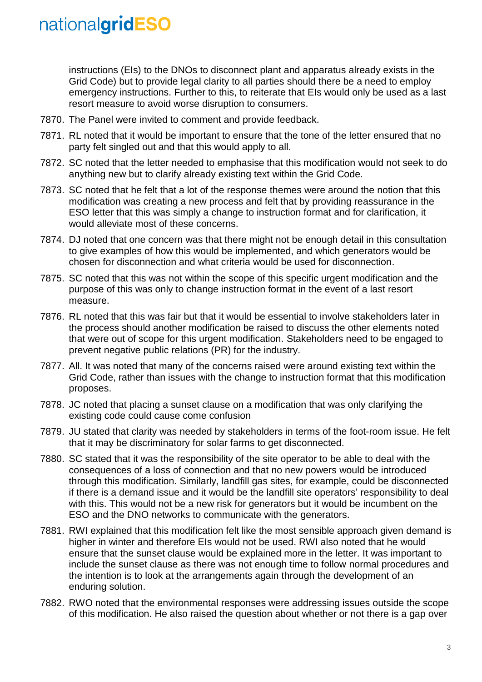instructions (EIs) to the DNOs to disconnect plant and apparatus already exists in the Grid Code) but to provide legal clarity to all parties should there be a need to employ emergency instructions. Further to this, to reiterate that EIs would only be used as a last resort measure to avoid worse disruption to consumers.

- 7870. The Panel were invited to comment and provide feedback.
- 7871. RL noted that it would be important to ensure that the tone of the letter ensured that no party felt singled out and that this would apply to all.
- 7872. SC noted that the letter needed to emphasise that this modification would not seek to do anything new but to clarify already existing text within the Grid Code.
- 7873. SC noted that he felt that a lot of the response themes were around the notion that this modification was creating a new process and felt that by providing reassurance in the ESO letter that this was simply a change to instruction format and for clarification, it would alleviate most of these concerns.
- 7874. DJ noted that one concern was that there might not be enough detail in this consultation to give examples of how this would be implemented, and which generators would be chosen for disconnection and what criteria would be used for disconnection.
- 7875. SC noted that this was not within the scope of this specific urgent modification and the purpose of this was only to change instruction format in the event of a last resort measure.
- 7876. RL noted that this was fair but that it would be essential to involve stakeholders later in the process should another modification be raised to discuss the other elements noted that were out of scope for this urgent modification. Stakeholders need to be engaged to prevent negative public relations (PR) for the industry.
- 7877. All. It was noted that many of the concerns raised were around existing text within the Grid Code, rather than issues with the change to instruction format that this modification proposes.
- 7878. JC noted that placing a sunset clause on a modification that was only clarifying the existing code could cause come confusion
- 7879. JU stated that clarity was needed by stakeholders in terms of the foot-room issue. He felt that it may be discriminatory for solar farms to get disconnected.
- 7880. SC stated that it was the responsibility of the site operator to be able to deal with the consequences of a loss of connection and that no new powers would be introduced through this modification. Similarly, landfill gas sites, for example, could be disconnected if there is a demand issue and it would be the landfill site operators' responsibility to deal with this. This would not be a new risk for generators but it would be incumbent on the ESO and the DNO networks to communicate with the generators.
- 7881. RWI explained that this modification felt like the most sensible approach given demand is higher in winter and therefore EIs would not be used. RWI also noted that he would ensure that the sunset clause would be explained more in the letter. It was important to include the sunset clause as there was not enough time to follow normal procedures and the intention is to look at the arrangements again through the development of an enduring solution.
- 7882. RWO noted that the environmental responses were addressing issues outside the scope of this modification. He also raised the question about whether or not there is a gap over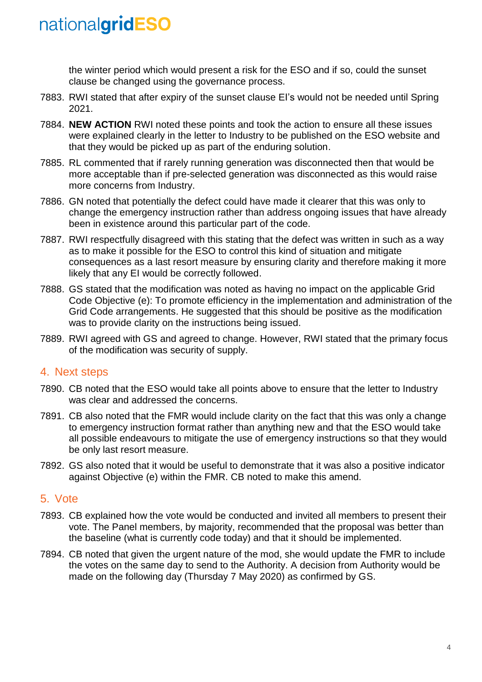the winter period which would present a risk for the ESO and if so, could the sunset clause be changed using the governance process.

- 7883. RWI stated that after expiry of the sunset clause EI's would not be needed until Spring 2021.
- 7884. **NEW ACTION** RWI noted these points and took the action to ensure all these issues were explained clearly in the letter to Industry to be published on the ESO website and that they would be picked up as part of the enduring solution.
- 7885. RL commented that if rarely running generation was disconnected then that would be more acceptable than if pre-selected generation was disconnected as this would raise more concerns from Industry.
- 7886. GN noted that potentially the defect could have made it clearer that this was only to change the emergency instruction rather than address ongoing issues that have already been in existence around this particular part of the code.
- 7887. RWI respectfully disagreed with this stating that the defect was written in such as a way as to make it possible for the ESO to control this kind of situation and mitigate consequences as a last resort measure by ensuring clarity and therefore making it more likely that any EI would be correctly followed.
- 7888. GS stated that the modification was noted as having no impact on the applicable Grid Code Objective (e): To promote efficiency in the implementation and administration of the Grid Code arrangements. He suggested that this should be positive as the modification was to provide clarity on the instructions being issued.
- 7889. RWI agreed with GS and agreed to change. However, RWI stated that the primary focus of the modification was security of supply.

### 4. Next steps

- 7890. CB noted that the ESO would take all points above to ensure that the letter to Industry was clear and addressed the concerns.
- 7891. CB also noted that the FMR would include clarity on the fact that this was only a change to emergency instruction format rather than anything new and that the ESO would take all possible endeavours to mitigate the use of emergency instructions so that they would be only last resort measure.
- 7892. GS also noted that it would be useful to demonstrate that it was also a positive indicator against Objective (e) within the FMR. CB noted to make this amend.

### 5. Vote

- 7893. CB explained how the vote would be conducted and invited all members to present their vote. The Panel members, by majority, recommended that the proposal was better than the baseline (what is currently code today) and that it should be implemented.
- 7894. CB noted that given the urgent nature of the mod, she would update the FMR to include the votes on the same day to send to the Authority. A decision from Authority would be made on the following day (Thursday 7 May 2020) as confirmed by GS.